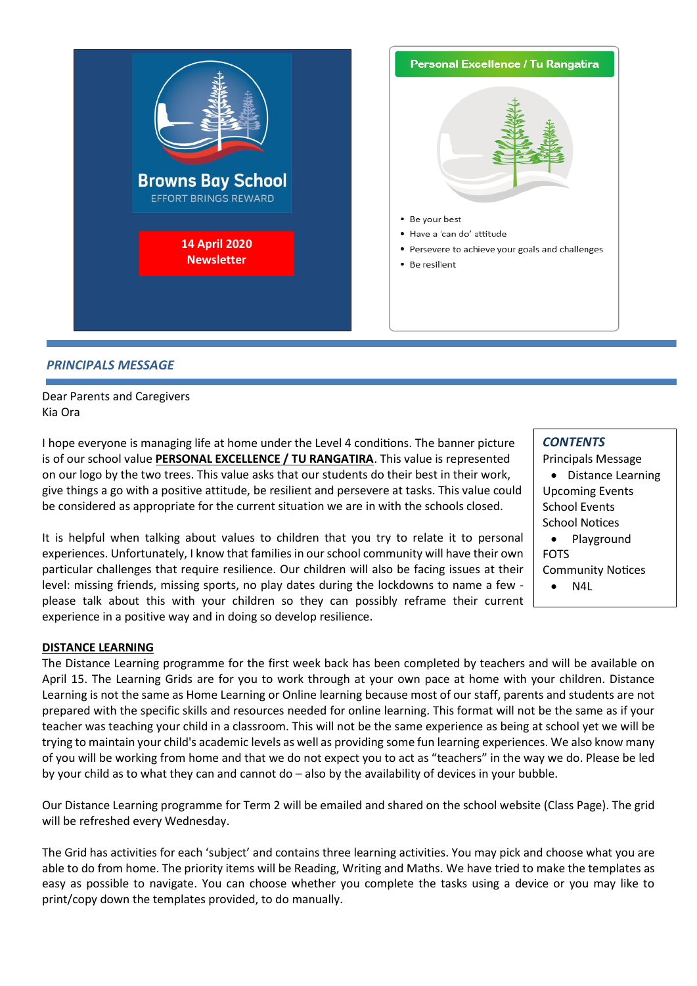

## *PRINCIPALS MESSAGE*

Dear Parents and Caregivers Kia Ora

I hope everyone is managing life at home under the Level 4 conditions. The banner picture is of our school value **PERSONAL EXCELLENCE / TU RANGATIRA**. This value is represented on our logo by the two trees. This value asks that our students do their best in their work, give things a go with a positive attitude, be resilient and persevere at tasks. This value could be considered as appropriate for the current situation we are in with the schools closed.

It is helpful when talking about values to children that you try to relate it to personal experiences. Unfortunately, I know that families in our school community will have their own particular challenges that require resilience. Our children will also be facing issues at their level: missing friends, missing sports, no play dates during the lockdowns to name a few please talk about this with your children so they can possibly reframe their current experience in a positive way and in doing so develop resilience.

### **DISTANCE LEARNING**

The Distance Learning programme for the first week back has been completed by teachers and will be available on April 15. The Learning Grids are for you to work through at your own pace at home with your children. Distance Learning is not the same as Home Learning or Online learning because most of our staff, parents and students are not prepared with the specific skills and resources needed for online learning. This format will not be the same as if your teacher was teaching your child in a classroom. This will not be the same experience as being at school yet we will be trying to maintain your child's academic levels as well as providing some fun learning experiences. We also know many of you will be working from home and that we do not expect you to act as "teachers" in the way we do. Please be led by your child as to what they can and cannot do – also by the availability of devices in your bubble.

Our Distance Learning programme for Term 2 will be emailed and shared on the school website (Class Page). The grid will be refreshed every Wednesday.

The Grid has activities for each 'subject' and contains three learning activities. You may pick and choose what you are able to do from home. The priority items will be Reading, Writing and Maths. We have tried to make the templates as easy as possible to navigate. You can choose whether you complete the tasks using a device or you may like to print/copy down the templates provided, to do manually.

## *CONTENTS*

Principals Message • Distance Learning Upcoming Events School Events School Notices

 Playground FOTS Community Notices  $\bullet$  N4L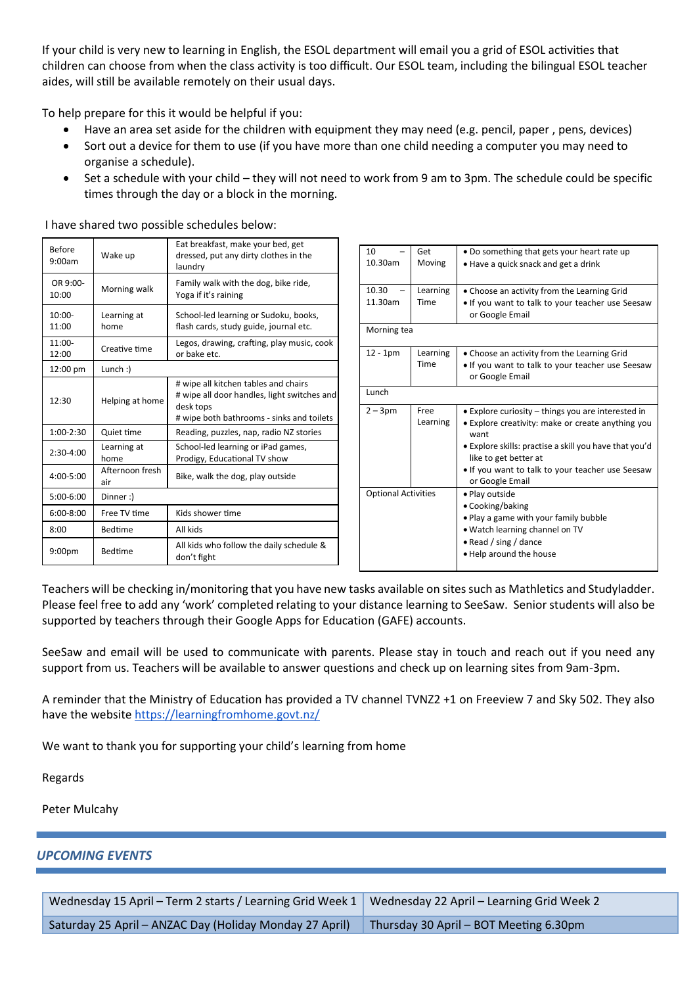If your child is very new to learning in English, the ESOL department will email you a grid of ESOL activities that children can choose from when the class activity is too difficult. Our ESOL team, including the bilingual ESOL teacher aides, will still be available remotely on their usual days.

To help prepare for this it would be helpful if you:

- Have an area set aside for the children with equipment they may need (e.g. pencil, paper , pens, devices)
- Sort out a device for them to use (if you have more than one child needing a computer you may need to organise a schedule).
- Set a schedule with your child they will not need to work from 9 am to 3pm. The schedule could be specific times through the day or a block in the morning.

| <b>Before</b><br>9:00am | Wake up                                                                     | Eat breakfast, make your bed, get<br>dressed, put any dirty clothes in the<br>laundry                                                         |
|-------------------------|-----------------------------------------------------------------------------|-----------------------------------------------------------------------------------------------------------------------------------------------|
| OR 9:00-<br>10:00       | Morning walk                                                                | Family walk with the dog, bike ride,<br>Yoga if it's raining                                                                                  |
| $10:00-$<br>11:00       | Learning at<br>home                                                         | School-led learning or Sudoku, books,<br>flash cards, study guide, journal etc.                                                               |
| $11:00-$<br>12:00       | Legos, drawing, crafting, play music, cook<br>Creative time<br>or bake etc. |                                                                                                                                               |
| 12:00 pm                | Lunch:                                                                      |                                                                                                                                               |
| 12:30                   | Helping at home                                                             | # wipe all kitchen tables and chairs<br># wipe all door handles, light switches and<br>desk tops<br># wipe both bathrooms - sinks and toilets |
| 1:00-2:30               | Quiet time                                                                  | Reading, puzzles, nap, radio NZ stories                                                                                                       |
| $2:30-4:00$             | Learning at<br>home                                                         | School-led learning or iPad games,<br>Prodigy, Educational TV show                                                                            |
| $4:00 - 5:00$           | Afternoon fresh<br>Bike, walk the dog, play outside<br>air                  |                                                                                                                                               |
| 5:00-6:00               | Dinner:)                                                                    |                                                                                                                                               |
| $6:00 - 8:00$           | Free TV time                                                                | Kids shower time                                                                                                                              |
| 8:00                    | <b>Bedtime</b>                                                              | All kids                                                                                                                                      |
| 9:00 <sub>pm</sub>      | Bedtime                                                                     | All kids who follow the daily schedule &<br>don't fight                                                                                       |

I have shared two possible schedules below:

| 10<br>10.30am              | Get<br>Moving    | • Do something that gets your heart rate up<br>• Have a quick snack and get a drink                                                                                                                                                                                       |  |
|----------------------------|------------------|---------------------------------------------------------------------------------------------------------------------------------------------------------------------------------------------------------------------------------------------------------------------------|--|
| 10.30<br>11.30am           | Learning<br>Time | • Choose an activity from the Learning Grid<br>. If you want to talk to your teacher use Seesaw<br>or Google Email                                                                                                                                                        |  |
| Morning tea                |                  |                                                                                                                                                                                                                                                                           |  |
| $12 - 1pm$                 | Learning<br>Time | • Choose an activity from the Learning Grid<br>. If you want to talk to your teacher use Seesaw<br>or Google Email                                                                                                                                                        |  |
| Lunch                      |                  |                                                                                                                                                                                                                                                                           |  |
| $2 - 3pm$                  | Free<br>Learning | • Explore curiosity – things you are interested in<br>• Explore creativity: make or create anything you<br>want<br>. Explore skills: practise a skill you have that you'd<br>like to get better at<br>• If you want to talk to your teacher use Seesaw<br>or Google Email |  |
| <b>Optional Activities</b> |                  | · Play outside<br>• Cooking/baking<br>. Play a game with your family bubble<br>. Watch learning channel on TV<br>• Read / sing / dance<br>. Help around the house                                                                                                         |  |

Teachers will be checking in/monitoring that you have new tasks available on sites such as Mathletics and Studyladder. Please feel free to add any 'work' completed relating to your distance learning to SeeSaw. Senior students will also be supported by teachers through their Google Apps for Education (GAFE) accounts.

SeeSaw and email will be used to communicate with parents. Please stay in touch and reach out if you need any support from us. Teachers will be available to answer questions and check up on learning sites from 9am-3pm.

A reminder that the Ministry of Education has provided a TV channel TVNZ2 +1 on Freeview 7 and Sky 502. They also have the website<https://learningfromhome.govt.nz/>

We want to thank you for supporting your child's learning from home

Regards

Peter Mulcahy

## *UPCOMING EVENTS*

Wednesday 15 April – Term 2 starts / Learning Grid Week 1 Wednesday 22 April – Learning Grid Week 2 Saturday 25 April – ANZAC Day (Holiday Monday 27 April) Thursday 30 April – BOT Meeting 6.30pm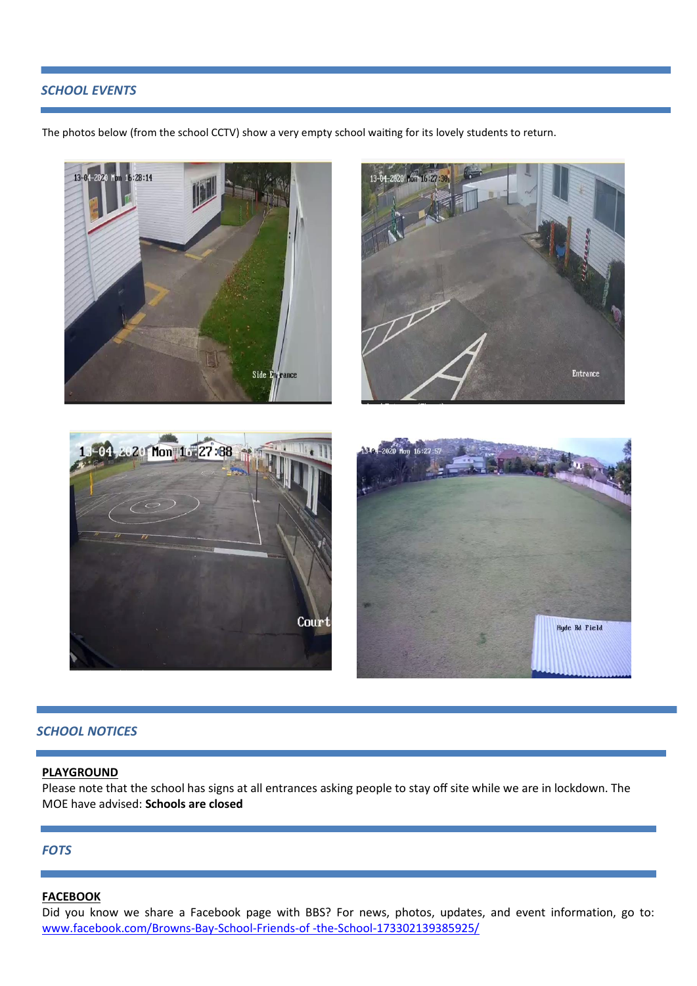# *SCHOOL EVENTS*

The photos below (from the school CCTV) show a very empty school waiting for its lovely students to return.



## *SCHOOL NOTICES*

### **PLAYGROUND**

Please note that the school has signs at all entrances asking people to stay off site while we are in lockdown. The MOE have advised: **Schools are closed**

### *FOTS*

### **FACEBOOK**

Did you know we share a Facebook page with BBS? For news, photos, updates, and event information, go to: [www.facebook.com/Browns-Bay-School-Friends-of -the-School-173302139385925/](http://www.facebook.com/Browns-Bay-School-Friends-of%20-the-School-173302139385925/)